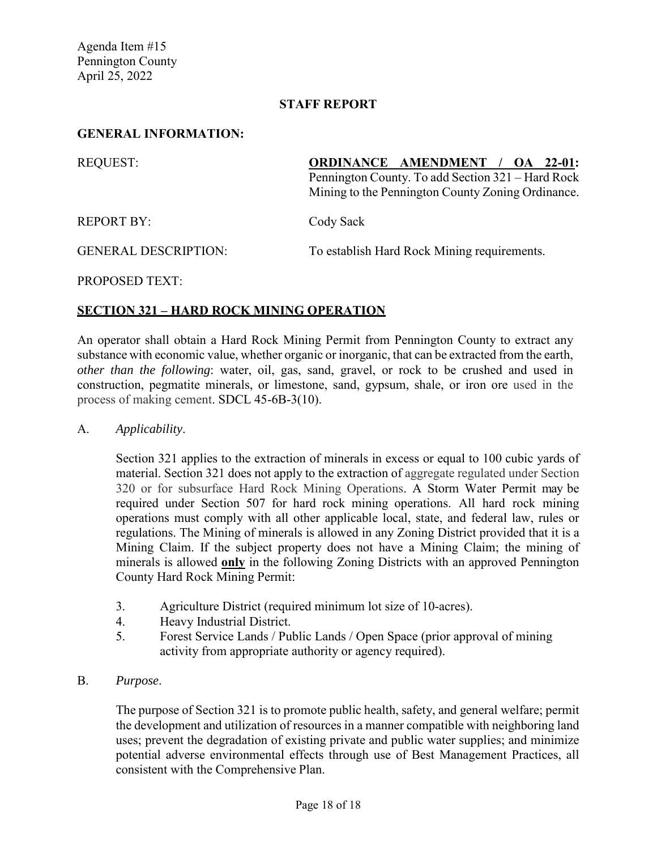Agenda Item #15 Pennington County April 25, 2022

#### **STAFF REPORT**

#### **GENERAL INFORMATION:**

| <b>REQUEST:</b>             | <b>ORDINANCE AMENDMENT / OA 22-01:</b>                                                                 |  |
|-----------------------------|--------------------------------------------------------------------------------------------------------|--|
|                             | Pennington County. To add Section 321 – Hard Rock<br>Mining to the Pennington County Zoning Ordinance. |  |
| <b>REPORT BY:</b>           | Cody Sack                                                                                              |  |
| <b>GENERAL DESCRIPTION:</b> | To establish Hard Rock Mining requirements.                                                            |  |

PROPOSED TEXT:

## **SECTION 321 – HARD ROCK MINING OPERATION**

An operator shall obtain a Hard Rock Mining Permit from Pennington County to extract any substance with economic value, whether organic or inorganic, that can be extracted from the earth, *other than the following*: water, oil, gas, sand, gravel, or rock to be crushed and used in construction, pegmatite minerals, or limestone, sand, gypsum, shale, or iron ore used in the process of making cement. SDCL 45-6B-3(10).

#### A. *Applicability*.

Section 321 applies to the extraction of minerals in excess or equal to 100 cubic yards of material. Section 321 does not apply to the extraction of aggregate regulated under Section 320 or for subsurface Hard Rock Mining Operations. A Storm Water Permit may be required under Section 507 for hard rock mining operations. All hard rock mining operations must comply with all other applicable local, state, and federal law, rules or regulations. The Mining of minerals is allowed in any Zoning District provided that it is a Mining Claim. If the subject property does not have a Mining Claim; the mining of minerals is allowed **only** in the following Zoning Districts with an approved Pennington County Hard Rock Mining Permit:

- 3. Agriculture District (required minimum lot size of 10-acres).
- 4. Heavy Industrial District.
- 5. Forest Service Lands / Public Lands / Open Space (prior approval of mining activity from appropriate authority or agency required).
- B. *Purpose*.

The purpose of Section 321 is to promote public health, safety, and general welfare; permit the development and utilization of resources in a manner compatible with neighboring land uses; prevent the degradation of existing private and public water supplies; and minimize potential adverse environmental effects through use of Best Management Practices, all consistent with the Comprehensive Plan.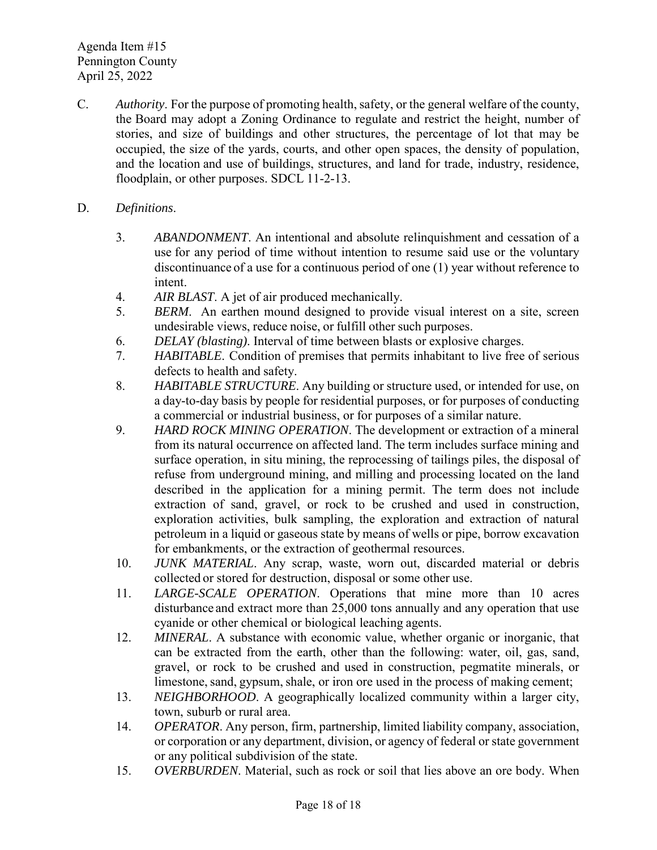Agenda Item #15 Pennington County April 25, 2022

C. *Authority*. For the purpose of promoting health, safety, or the general welfare of the county, the Board may adopt a Zoning Ordinance to regulate and restrict the height, number of stories, and size of buildings and other structures, the percentage of lot that may be occupied, the size of the yards, courts, and other open spaces, the density of population, and the location and use of buildings, structures, and land for trade, industry, residence, floodplain, or other purposes. SDCL 11-2-13.

## D. *Definitions*.

- 3. *ABANDONMENT*. An intentional and absolute relinquishment and cessation of a use for any period of time without intention to resume said use or the voluntary discontinuance of a use for a continuous period of one (1) year without reference to intent.
- 4. *AIR BLAST*. A jet of air produced mechanically.
- 5. *BERM*. An earthen mound designed to provide visual interest on a site, screen undesirable views, reduce noise, or fulfill other such purposes.
- 6. *DELAY (blasting)*. Interval of time between blasts or explosive charges.
- 7. *HABITABLE*. Condition of premises that permits inhabitant to live free of serious defects to health and safety.
- 8. *HABITABLE STRUCTURE*. Any building or structure used, or intended for use, on a day-to-day basis by people for residential purposes, or for purposes of conducting a commercial or industrial business, or for purposes of a similar nature.
- 9. *HARD ROCK MINING OPERATION*. The development or extraction of a mineral from its natural occurrence on affected land. The term includes surface mining and surface operation, in situ mining, the reprocessing of tailings piles, the disposal of refuse from underground mining, and milling and processing located on the land described in the application for a mining permit. The term does not include extraction of sand, gravel, or rock to be crushed and used in construction, exploration activities, bulk sampling, the exploration and extraction of natural petroleum in a liquid or gaseous state by means of wells or pipe, borrow excavation for embankments, or the extraction of geothermal resources.
- 10. *JUNK MATERIAL*. Any scrap, waste, worn out, discarded material or debris collected or stored for destruction, disposal or some other use.
- 11. *LARGE-SCALE OPERATION*. Operations that mine more than 10 acres disturbance and extract more than 25,000 tons annually and any operation that use cyanide or other chemical or biological leaching agents.
- 12. *MINERAL*. A substance with economic value, whether organic or inorganic, that can be extracted from the earth, other than the following: water, oil, gas, sand, gravel, or rock to be crushed and used in construction, pegmatite minerals, or limestone, sand, gypsum, shale, or iron ore used in the process of making cement;
- 13. *NEIGHBORHOOD*. A geographically localized community within a larger city, town, suburb or rural area.
- 14. *OPERATOR*. Any person, firm, partnership, limited liability company, association, or corporation or any department, division, or agency of federal or state government or any political subdivision of the state.
- 15. *OVERBURDEN*. Material, such as rock or soil that lies above an ore body. When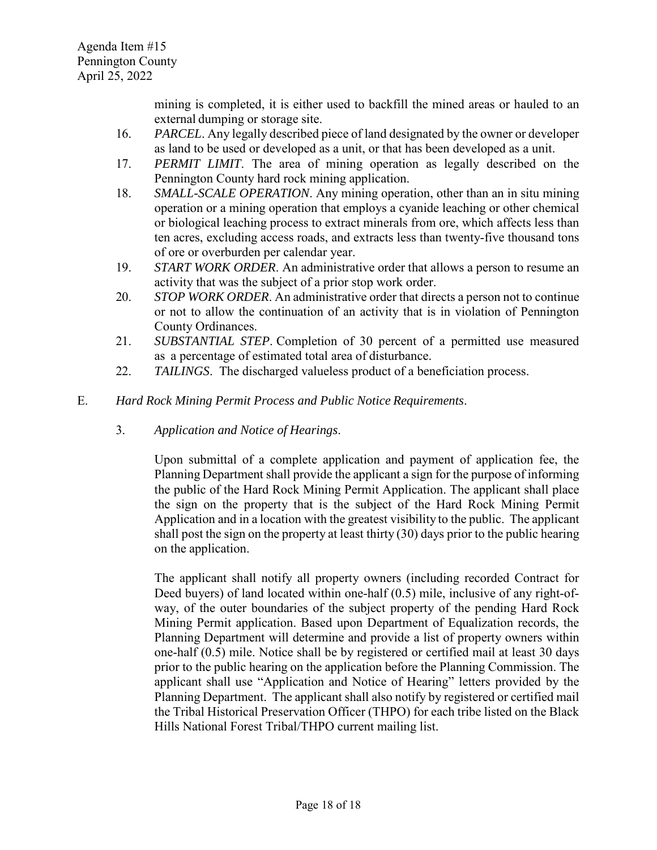mining is completed, it is either used to backfill the mined areas or hauled to an external dumping or storage site.

- 16. *PARCEL*. Any legally described piece of land designated by the owner or developer as land to be used or developed as a unit, or that has been developed as a unit.
- 17. *PERMIT LIMIT*. The area of mining operation as legally described on the Pennington County hard rock mining application.
- 18. *SMALL-SCALE OPERATION*. Any mining operation, other than an in situ mining operation or a mining operation that employs a cyanide leaching or other chemical or biological leaching process to extract minerals from ore, which affects less than ten acres, excluding access roads, and extracts less than twenty-five thousand tons of ore or overburden per calendar year.
- 19. *START WORK ORDER*. An administrative order that allows a person to resume an activity that was the subject of a prior stop work order.
- 20. *STOP WORK ORDER*. An administrative order that directs a person not to continue or not to allow the continuation of an activity that is in violation of Pennington County Ordinances.
- 21. *SUBSTANTIAL STEP*. Completion of 30 percent of a permitted use measured as a percentage of estimated total area of disturbance.
- 22. *TAILINGS*. The discharged valueless product of a beneficiation process.
- E. *Hard Rock Mining Permit Process and Public Notice Requirements*.
	- 3. *Application and Notice of Hearings*.

Upon submittal of a complete application and payment of application fee, the Planning Department shall provide the applicant a sign for the purpose of informing the public of the Hard Rock Mining Permit Application. The applicant shall place the sign on the property that is the subject of the Hard Rock Mining Permit Application and in a location with the greatest visibility to the public. The applicant shall post the sign on the property at least thirty (30) days prior to the public hearing on the application.

The applicant shall notify all property owners (including recorded Contract for Deed buyers) of land located within one-half (0.5) mile, inclusive of any right-ofway, of the outer boundaries of the subject property of the pending Hard Rock Mining Permit application. Based upon Department of Equalization records, the Planning Department will determine and provide a list of property owners within one-half (0.5) mile. Notice shall be by registered or certified mail at least 30 days prior to the public hearing on the application before the Planning Commission. The applicant shall use "Application and Notice of Hearing" letters provided by the Planning Department. The applicant shall also notify by registered or certified mail the Tribal Historical Preservation Officer (THPO) for each tribe listed on the Black Hills National Forest Tribal/THPO current mailing list.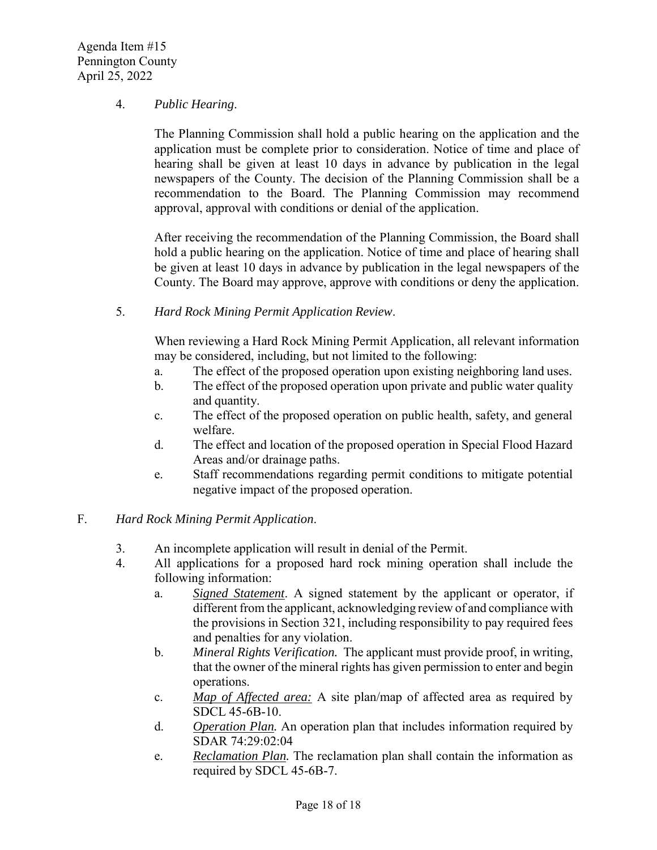Agenda Item #15 Pennington County April 25, 2022

## 4. *Public Hearing*.

The Planning Commission shall hold a public hearing on the application and the application must be complete prior to consideration. Notice of time and place of hearing shall be given at least 10 days in advance by publication in the legal newspapers of the County. The decision of the Planning Commission shall be a recommendation to the Board. The Planning Commission may recommend approval, approval with conditions or denial of the application.

After receiving the recommendation of the Planning Commission, the Board shall hold a public hearing on the application. Notice of time and place of hearing shall be given at least 10 days in advance by publication in the legal newspapers of the County. The Board may approve, approve with conditions or deny the application.

5. *Hard Rock Mining Permit Application Review*.

When reviewing a Hard Rock Mining Permit Application, all relevant information may be considered, including, but not limited to the following:

- a. The effect of the proposed operation upon existing neighboring land uses.
- b. The effect of the proposed operation upon private and public water quality and quantity.
- c. The effect of the proposed operation on public health, safety, and general welfare.
- d. The effect and location of the proposed operation in Special Flood Hazard Areas and/or drainage paths.
- e. Staff recommendations regarding permit conditions to mitigate potential negative impact of the proposed operation.

## F. *Hard Rock Mining Permit Application*.

- 3. An incomplete application will result in denial of the Permit.
- 4. All applications for a proposed hard rock mining operation shall include the following information:
	- a. *Signed Statement*. A signed statement by the applicant or operator, if different from the applicant, acknowledging review of and compliance with the provisions in Section 321, including responsibility to pay required fees and penalties for any violation.
	- b. *Mineral Rights Verification.* The applicant must provide proof, in writing, that the owner of the mineral rights has given permission to enter and begin operations.
	- c. *Map of Affected area:* A site plan/map of affected area as required by SDCL 45-6B-10.
	- d. *Operation Plan.* An operation plan that includes information required by SDAR 74:29:02:04
	- e. *Reclamation Plan.* The reclamation plan shall contain the information as required by SDCL 45-6B-7.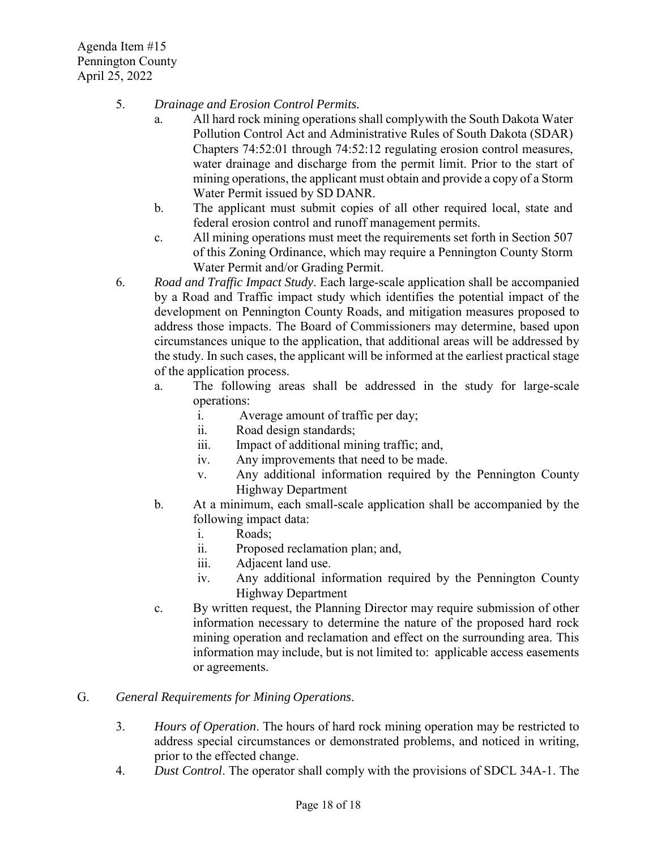Agenda Item #15 Pennington County April 25, 2022

- 5. *Drainage and Erosion Control Permits.*
	- a. All hard rock mining operations shall complywith the South Dakota Water Pollution Control Act and Administrative Rules of South Dakota (SDAR) Chapters 74:52:01 through 74:52:12 regulating erosion control measures, water drainage and discharge from the permit limit. Prior to the start of mining operations, the applicant must obtain and provide a copy of a Storm Water Permit issued by SD DANR.
	- b. The applicant must submit copies of all other required local, state and federal erosion control and runoff management permits.
	- c. All mining operations must meet the requirements set forth in Section 507 of this Zoning Ordinance, which may require a Pennington County Storm Water Permit and/or Grading Permit.
- 6. *Road and Traffic Impact Study*. Each large-scale application shall be accompanied by a Road and Traffic impact study which identifies the potential impact of the development on Pennington County Roads, and mitigation measures proposed to address those impacts. The Board of Commissioners may determine, based upon circumstances unique to the application, that additional areas will be addressed by the study. In such cases, the applicant will be informed at the earliest practical stage of the application process.
	- a. The following areas shall be addressed in the study for large-scale operations:
		- i. Average amount of traffic per day;
		- ii. Road design standards;
		- iii. Impact of additional mining traffic; and,
		- iv. Any improvements that need to be made.
		- v. Any additional information required by the Pennington County Highway Department
	- b. At a minimum, each small-scale application shall be accompanied by the following impact data:
		- i. Roads;
		- ii. Proposed reclamation plan; and,
		- iii. Adjacent land use.
		- iv. Any additional information required by the Pennington County Highway Department
	- c. By written request, the Planning Director may require submission of other information necessary to determine the nature of the proposed hard rock mining operation and reclamation and effect on the surrounding area. This information may include, but is not limited to: applicable access easements or agreements.

## G. *General Requirements for Mining Operations*.

- 3. *Hours of Operation*. The hours of hard rock mining operation may be restricted to address special circumstances or demonstrated problems, and noticed in writing, prior to the effected change.
- 4. *Dust Control*. The operator shall comply with the provisions of SDCL 34A-1. The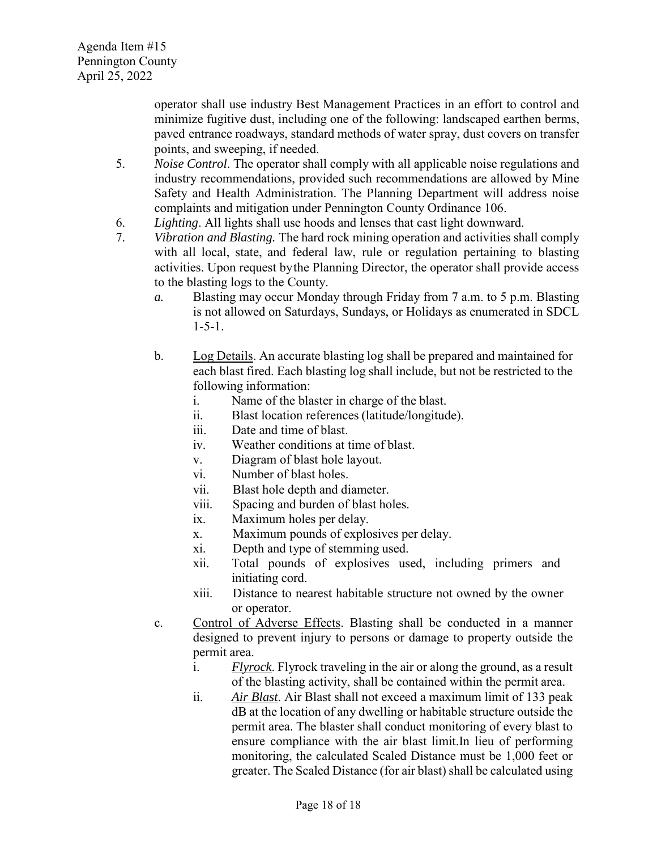operator shall use industry Best Management Practices in an effort to control and minimize fugitive dust, including one of the following: landscaped earthen berms, paved entrance roadways, standard methods of water spray, dust covers on transfer points, and sweeping, if needed.

- 5. *Noise Control*. The operator shall comply with all applicable noise regulations and industry recommendations, provided such recommendations are allowed by Mine Safety and Health Administration. The Planning Department will address noise complaints and mitigation under Pennington County Ordinance 106.
- 6. *Lighting*. All lights shall use hoods and lenses that cast light downward.
- 7. *Vibration and Blasting.* The hard rock mining operation and activities shall comply with all local, state, and federal law, rule or regulation pertaining to blasting activities. Upon request by the Planning Director, the operator shall provide access to the blasting logs to the County.
	- *a.* Blasting may occur Monday through Friday from 7 a.m. to 5 p.m. Blasting is not allowed on Saturdays, Sundays, or Holidays as enumerated in SDCL 1-5-1.
	- b. Log Details. An accurate blasting log shall be prepared and maintained for each blast fired. Each blasting log shall include, but not be restricted to the following information:
		- i. Name of the blaster in charge of the blast.
		- ii. Blast location references (latitude/longitude).
		- iii. Date and time of blast.
		- iv. Weather conditions at time of blast.
		- v. Diagram of blast hole layout.
		- vi. Number of blast holes.
		- vii. Blast hole depth and diameter.
		- viii. Spacing and burden of blast holes.
		- ix. Maximum holes per delay.
		- x. Maximum pounds of explosives per delay.
		- xi. Depth and type of stemming used.
		- xii. Total pounds of explosives used, including primers and initiating cord.
		- xiii. Distance to nearest habitable structure not owned by the owner or operator.
	- c. Control of Adverse Effects. Blasting shall be conducted in a manner designed to prevent injury to persons or damage to property outside the permit area.
		- i. *Flyrock*. Flyrock traveling in the air or along the ground, as a result of the blasting activity, shall be contained within the permit area.
		- ii. *Air Blast*. Air Blast shall not exceed a maximum limit of 133 peak dB at the location of any dwelling or habitable structure outside the permit area. The blaster shall conduct monitoring of every blast to ensure compliance with the air blast limit.In lieu of performing monitoring, the calculated Scaled Distance must be 1,000 feet or greater. The Scaled Distance (for air blast) shall be calculated using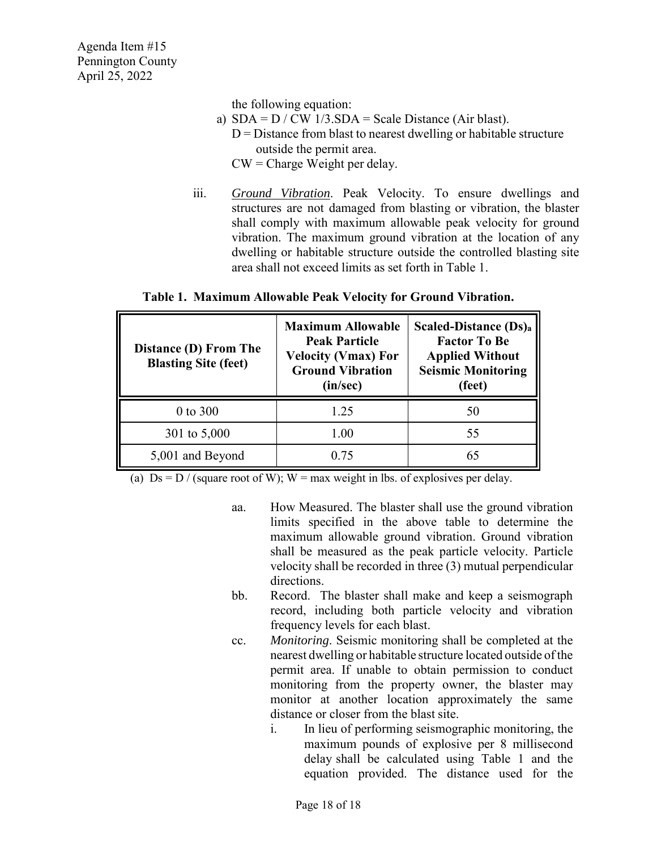the following equation:

- a)  $SDA = D / CW$  1/3. $SDA = Scale Distance$  (Air blast).  $D =$  Distance from blast to nearest dwelling or habitable structure outside the permit area.  $CW =$ Charge Weight per delay.
- iii. *Ground Vibration*. Peak Velocity. To ensure dwellings and structures are not damaged from blasting or vibration, the blaster shall comply with maximum allowable peak velocity for ground vibration. The maximum ground vibration at the location of any dwelling or habitable structure outside the controlled blasting site area shall not exceed limits as set forth in Table 1.

# **Table 1. Maximum Allowable Peak Velocity for Ground Vibration.**

| Distance (D) From The<br><b>Blasting Site (feet)</b> | <b>Maximum Allowable</b><br><b>Peak Particle</b><br><b>Velocity (Vmax) For</b><br><b>Ground Vibration</b><br>(in/sec) | <b>Scaled-Distance (Ds)a</b><br><b>Factor To Be</b><br><b>Applied Without</b><br><b>Seismic Monitoring</b><br>(feet) |
|------------------------------------------------------|-----------------------------------------------------------------------------------------------------------------------|----------------------------------------------------------------------------------------------------------------------|
| 0 to 300                                             | 1.25                                                                                                                  | 50                                                                                                                   |
| 301 to 5,000                                         | 1.00                                                                                                                  | 55                                                                                                                   |
| 5,001 and Beyond                                     | 0.75                                                                                                                  | 65                                                                                                                   |

(a)  $Ds = D / (square root of W); W = max weight in lbs. of exploits per delay.$ 

- aa. How Measured. The blaster shall use the ground vibration limits specified in the above table to determine the maximum allowable ground vibration. Ground vibration shall be measured as the peak particle velocity. Particle velocity shall be recorded in three (3) mutual perpendicular directions.
- bb. Record. The blaster shall make and keep a seismograph record, including both particle velocity and vibration frequency levels for each blast.
- cc. *Monitoring*. Seismic monitoring shall be completed at the nearest dwelling or habitable structure located outside of the permit area. If unable to obtain permission to conduct monitoring from the property owner, the blaster may monitor at another location approximately the same distance or closer from the blast site.
	- i. In lieu of performing seismographic monitoring, the maximum pounds of explosive per 8 millisecond delay shall be calculated using Table 1 and the equation provided. The distance used for the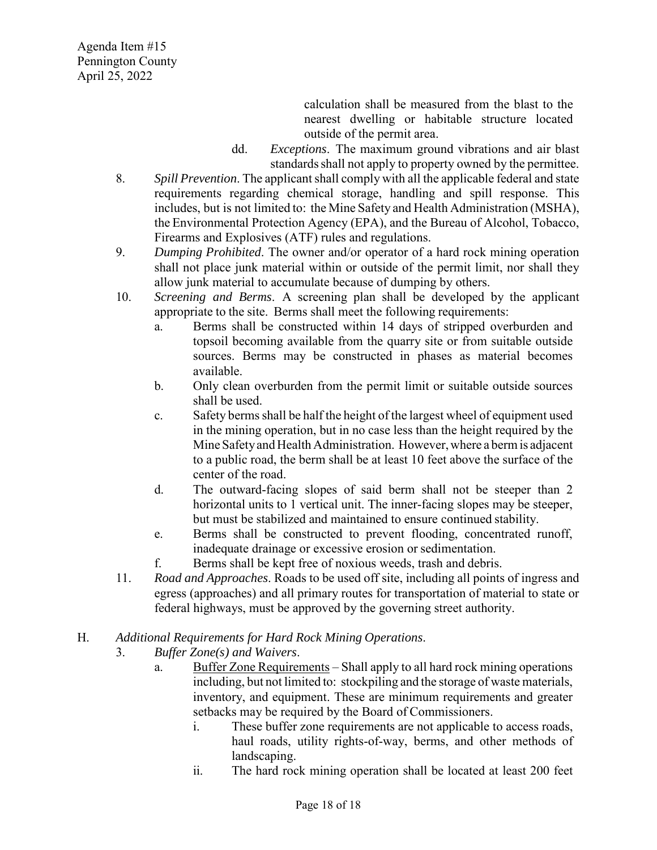calculation shall be measured from the blast to the nearest dwelling or habitable structure located outside of the permit area.

- dd. *Exceptions*. The maximum ground vibrations and air blast standards shall not apply to property owned by the permittee.
- 8. *Spill Prevention*. The applicant shall comply with all the applicable federal and state requirements regarding chemical storage, handling and spill response. This includes, but is not limited to: the Mine Safety and Health Administration (MSHA), the Environmental Protection Agency (EPA), and the Bureau of Alcohol, Tobacco, Firearms and Explosives (ATF) rules and regulations.
- 9. *Dumping Prohibited*. The owner and/or operator of a hard rock mining operation shall not place junk material within or outside of the permit limit, nor shall they allow junk material to accumulate because of dumping by others.
- 10. *Screening and Berms*. A screening plan shall be developed by the applicant appropriate to the site. Berms shall meet the following requirements:
	- a. Berms shall be constructed within 14 days of stripped overburden and topsoil becoming available from the quarry site or from suitable outside sources. Berms may be constructed in phases as material becomes available.
	- b. Only clean overburden from the permit limit or suitable outside sources shall be used.
	- c. Safety bermsshall be half the height of the largest wheel of equipment used in the mining operation, but in no case less than the height required by the Mine Safety and Health Administration. However, where a berm is adjacent to a public road, the berm shall be at least 10 feet above the surface of the center of the road.
	- d. The outward-facing slopes of said berm shall not be steeper than 2 horizontal units to 1 vertical unit. The inner-facing slopes may be steeper, but must be stabilized and maintained to ensure continued stability.
	- e. Berms shall be constructed to prevent flooding, concentrated runoff, inadequate drainage or excessive erosion or sedimentation.
	- f. Berms shall be kept free of noxious weeds, trash and debris.
- 11. *Road and Approaches*. Roads to be used off site, including all points of ingress and egress (approaches) and all primary routes for transportation of material to state or federal highways, must be approved by the governing street authority.

## H. *Additional Requirements for Hard Rock Mining Operations*.

- 3. *Buffer Zone(s) and Waivers*.
	- a. Buffer Zone Requirements Shall apply to all hard rock mining operations including, but not limited to: stockpiling and the storage of waste materials, inventory, and equipment. These are minimum requirements and greater setbacks may be required by the Board of Commissioners.
		- i. These buffer zone requirements are not applicable to access roads, haul roads, utility rights-of-way, berms, and other methods of landscaping.
		- ii. The hard rock mining operation shall be located at least 200 feet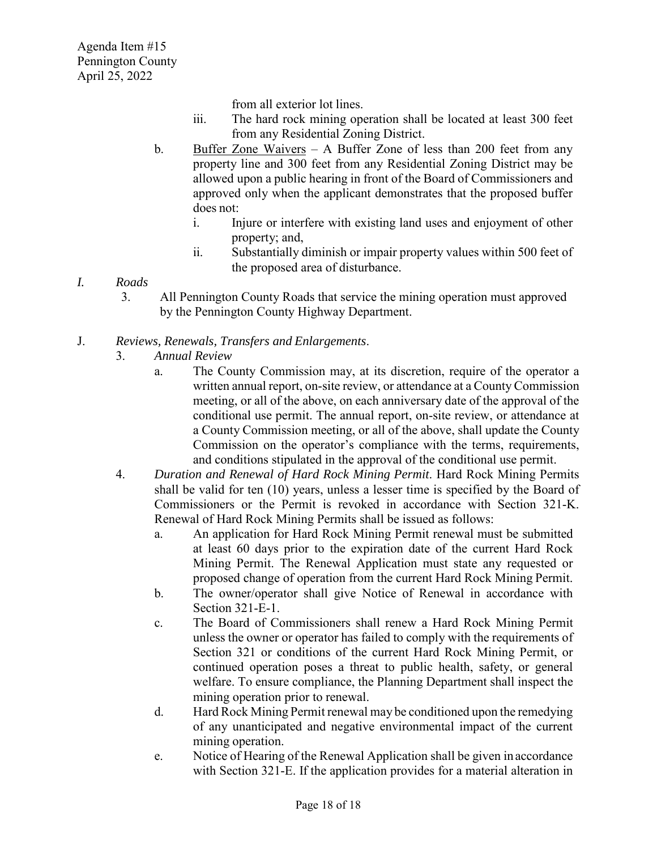from all exterior lot lines.

- iii. The hard rock mining operation shall be located at least 300 feet from any Residential Zoning District.
- b. Buffer Zone Waivers A Buffer Zone of less than 200 feet from any property line and 300 feet from any Residential Zoning District may be allowed upon a public hearing in front of the Board of Commissioners and approved only when the applicant demonstrates that the proposed buffer does not:
	- i. Injure or interfere with existing land uses and enjoyment of other property; and,
	- ii. Substantially diminish or impair property values within 500 feet of the proposed area of disturbance.
- *I. Roads* 
	- 3. All Pennington County Roads that service the mining operation must approved by the Pennington County Highway Department.

# J. *Reviews, Renewals, Transfers and Enlargements*.

- 3. *Annual Review* 
	- a. The County Commission may, at its discretion, require of the operator a written annual report, on-site review, or attendance at a County Commission meeting, or all of the above, on each anniversary date of the approval of the conditional use permit. The annual report, on-site review, or attendance at a County Commission meeting, or all of the above, shall update the County Commission on the operator's compliance with the terms, requirements, and conditions stipulated in the approval of the conditional use permit.
- 4. *Duration and Renewal of Hard Rock Mining Permit*. Hard Rock Mining Permits shall be valid for ten (10) years, unless a lesser time is specified by the Board of Commissioners or the Permit is revoked in accordance with Section 321-K. Renewal of Hard Rock Mining Permits shall be issued as follows:
	- a. An application for Hard Rock Mining Permit renewal must be submitted at least 60 days prior to the expiration date of the current Hard Rock Mining Permit. The Renewal Application must state any requested or proposed change of operation from the current Hard Rock Mining Permit.
	- b. The owner/operator shall give Notice of Renewal in accordance with Section 321-E-1.
	- c. The Board of Commissioners shall renew a Hard Rock Mining Permit unless the owner or operator has failed to comply with the requirements of Section 321 or conditions of the current Hard Rock Mining Permit, or continued operation poses a threat to public health, safety, or general welfare. To ensure compliance, the Planning Department shall inspect the mining operation prior to renewal.
	- d. Hard Rock Mining Permit renewal may be conditioned upon the remedying of any unanticipated and negative environmental impact of the current mining operation.
	- e. Notice of Hearing of the Renewal Application shall be given inaccordance with Section 321-E. If the application provides for a material alteration in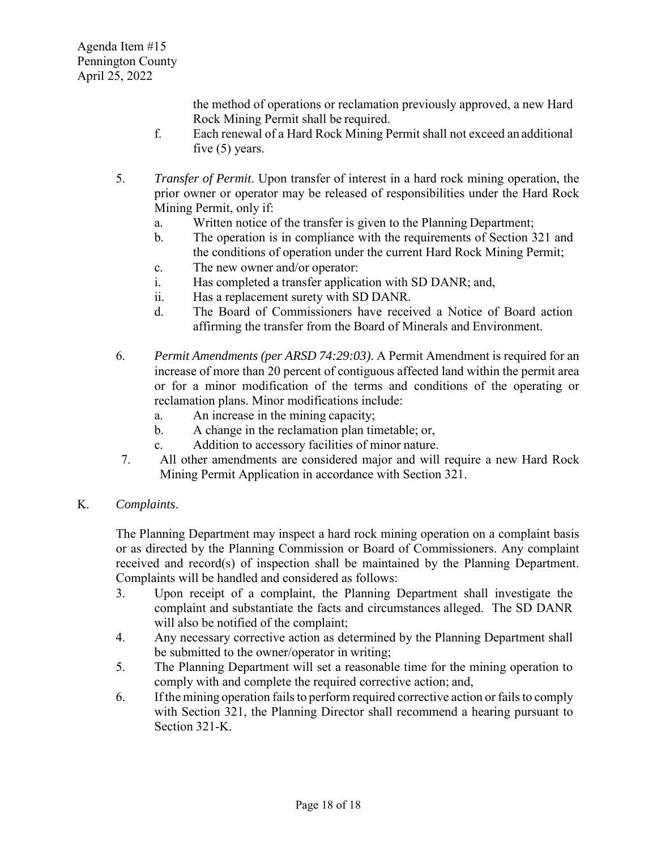the method of operations or reclamation previously approved, a new Hard Rock Mining Permit shall be required.

- f. Each renewal of a Hard Rock Mining Permit shall not exceed an additional five (5) years.
- 5. *Transfer of Permit*. Upon transfer of interest in a hard rock mining operation, the prior owner or operator may be released of responsibilities under the Hard Rock Mining Permit, only if:
	- a. Written notice of the transfer is given to the Planning Department;
	- b. The operation is in compliance with the requirements of Section 321 and the conditions of operation under the current Hard Rock Mining Permit;
	- c. The new owner and/or operator:
	- i. Has completed a transfer application with SD DANR; and,
	- ii. Has a replacement surety with SD DANR.
	- d. The Board of Commissioners have received a Notice of Board action affirming the transfer from the Board of Minerals and Environment.
- 6. *Permit Amendments (per ARSD 74:29:03)*. A Permit Amendment is required for an increase of more than 20 percent of contiguous affected land within the permit area or for a minor modification of the terms and conditions of the operating or reclamation plans. Minor modifications include:
	- a. An increase in the mining capacity;
	- b. A change in the reclamation plan timetable; or,
	- c. Addition to accessory facilities of minor nature.
- 7. All other amendments are considered major and will require a new Hard Rock Mining Permit Application in accordance with Section 321.

## K. *Complaints*.

The Planning Department may inspect a hard rock mining operation on a complaint basis or as directed by the Planning Commission or Board of Commissioners. Any complaint received and record(s) of inspection shall be maintained by the Planning Department. Complaints will be handled and considered as follows:

- 3. Upon receipt of a complaint, the Planning Department shall investigate the complaint and substantiate the facts and circumstances alleged. The SD DANR will also be notified of the complaint;
- 4. Any necessary corrective action as determined by the Planning Department shall be submitted to the owner/operator in writing;
- 5. The Planning Department will set a reasonable time for the mining operation to comply with and complete the required corrective action; and,
- 6. If the mining operation failsto perform required corrective action or failsto comply with Section 321, the Planning Director shall recommend a hearing pursuant to Section 321-K.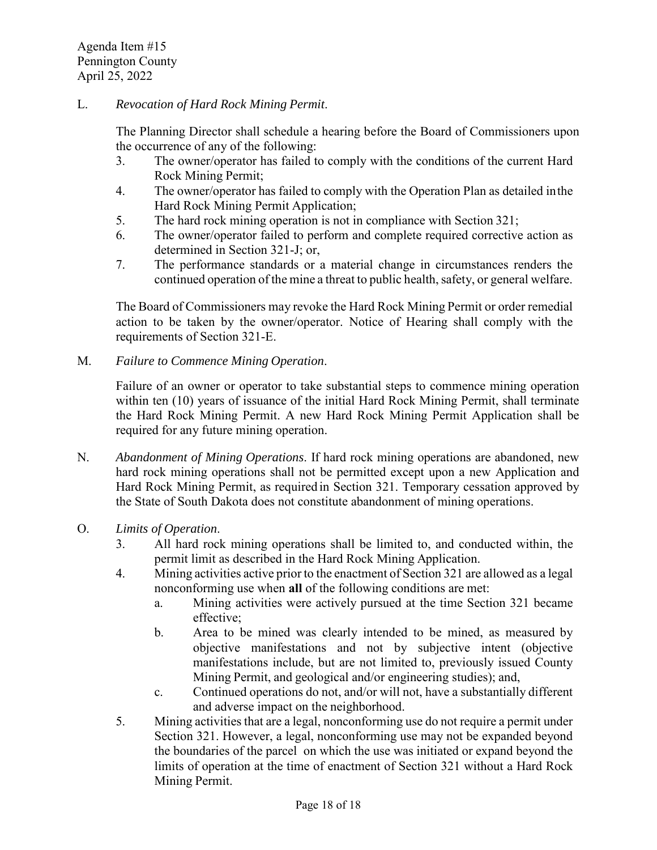#### L. *Revocation of Hard Rock Mining Permit*.

The Planning Director shall schedule a hearing before the Board of Commissioners upon the occurrence of any of the following:

- 3. The owner/operator has failed to comply with the conditions of the current Hard Rock Mining Permit;
- 4. The owner/operator has failed to comply with the Operation Plan as detailed inthe Hard Rock Mining Permit Application;
- 5. The hard rock mining operation is not in compliance with Section 321;
- 6. The owner/operator failed to perform and complete required corrective action as determined in Section 321-J; or,
- 7. The performance standards or a material change in circumstances renders the continued operation of the mine a threat to public health, safety, or general welfare.

The Board of Commissioners may revoke the Hard Rock Mining Permit or order remedial action to be taken by the owner/operator. Notice of Hearing shall comply with the requirements of Section 321-E.

M. *Failure to Commence Mining Operation*.

Failure of an owner or operator to take substantial steps to commence mining operation within ten (10) years of issuance of the initial Hard Rock Mining Permit, shall terminate the Hard Rock Mining Permit. A new Hard Rock Mining Permit Application shall be required for any future mining operation.

N. *Abandonment of Mining Operations*. If hard rock mining operations are abandoned, new hard rock mining operations shall not be permitted except upon a new Application and Hard Rock Mining Permit, as required in Section 321. Temporary cessation approved by the State of South Dakota does not constitute abandonment of mining operations.

#### O. *Limits of Operation*.

- 3. All hard rock mining operations shall be limited to, and conducted within, the permit limit as described in the Hard Rock Mining Application.
- 4. Mining activities active prior to the enactment of Section 321 are allowed as a legal nonconforming use when **all** of the following conditions are met:
	- a. Mining activities were actively pursued at the time Section 321 became effective;
	- b. Area to be mined was clearly intended to be mined, as measured by objective manifestations and not by subjective intent (objective manifestations include, but are not limited to, previously issued County Mining Permit, and geological and/or engineering studies); and,
	- c. Continued operations do not, and/or will not, have a substantially different and adverse impact on the neighborhood.
- 5. Mining activities that are a legal, nonconforming use do not require a permit under Section 321. However, a legal, nonconforming use may not be expanded beyond the boundaries of the parcel on which the use was initiated or expand beyond the limits of operation at the time of enactment of Section 321 without a Hard Rock Mining Permit.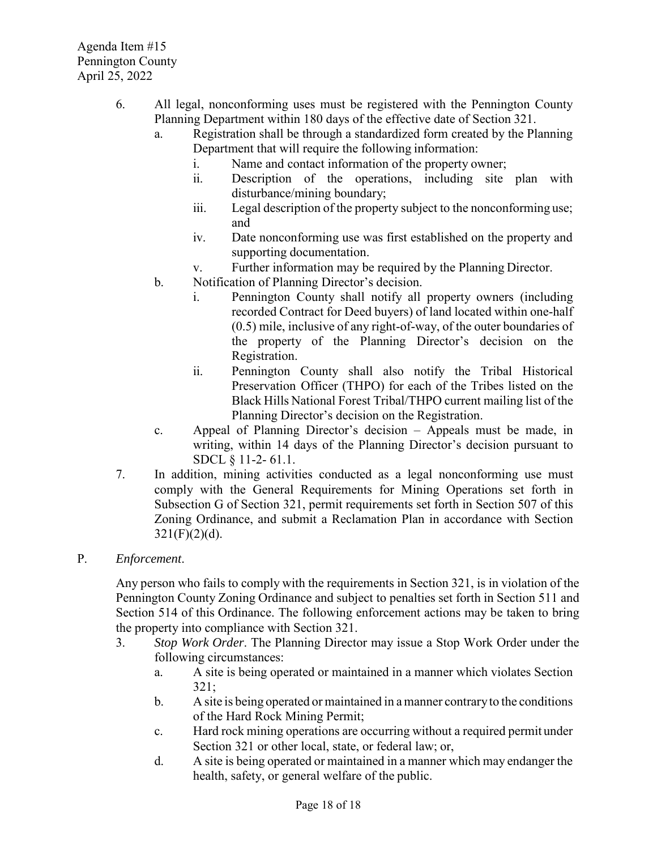- 6. All legal, nonconforming uses must be registered with the Pennington County Planning Department within 180 days of the effective date of Section 321.
	- a. Registration shall be through a standardized form created by the Planning Department that will require the following information:
		- i. Name and contact information of the property owner;
		- ii. Description of the operations, including site plan with disturbance/mining boundary;
		- iii. Legal description of the property subject to the nonconforming use; and
		- iv. Date nonconforming use was first established on the property and supporting documentation.
		- v. Further information may be required by the Planning Director.
	- b. Notification of Planning Director's decision.
		- i. Pennington County shall notify all property owners (including recorded Contract for Deed buyers) of land located within one-half (0.5) mile, inclusive of any right-of-way, of the outer boundaries of the property of the Planning Director's decision on the Registration.
		- ii. Pennington County shall also notify the Tribal Historical Preservation Officer (THPO) for each of the Tribes listed on the Black Hills National Forest Tribal/THPO current mailing list of the Planning Director's decision on the Registration.
	- c. Appeal of Planning Director's decision Appeals must be made, in writing, within 14 days of the Planning Director's decision pursuant to SDCL § 11-2- 61.1.
- 7. In addition, mining activities conducted as a legal nonconforming use must comply with the General Requirements for Mining Operations set forth in Subsection G of Section 321, permit requirements set forth in Section 507 of this Zoning Ordinance, and submit a Reclamation Plan in accordance with Section  $321(F)(2)(d)$ .
- P. *Enforcement*.

Any person who fails to comply with the requirements in Section 321, is in violation of the Pennington County Zoning Ordinance and subject to penalties set forth in Section 511 and Section 514 of this Ordinance. The following enforcement actions may be taken to bring the property into compliance with Section 321.

- 3. *Stop Work Order*. The Planning Director may issue a Stop Work Order under the following circumstances:
	- a. A site is being operated or maintained in a manner which violates Section 321;
	- b. A site is being operated or maintained in a manner contraryto the conditions of the Hard Rock Mining Permit;
	- c. Hard rock mining operations are occurring without a required permit under Section 321 or other local, state, or federal law; or,
	- d. A site is being operated or maintained in a manner which may endanger the health, safety, or general welfare of the public.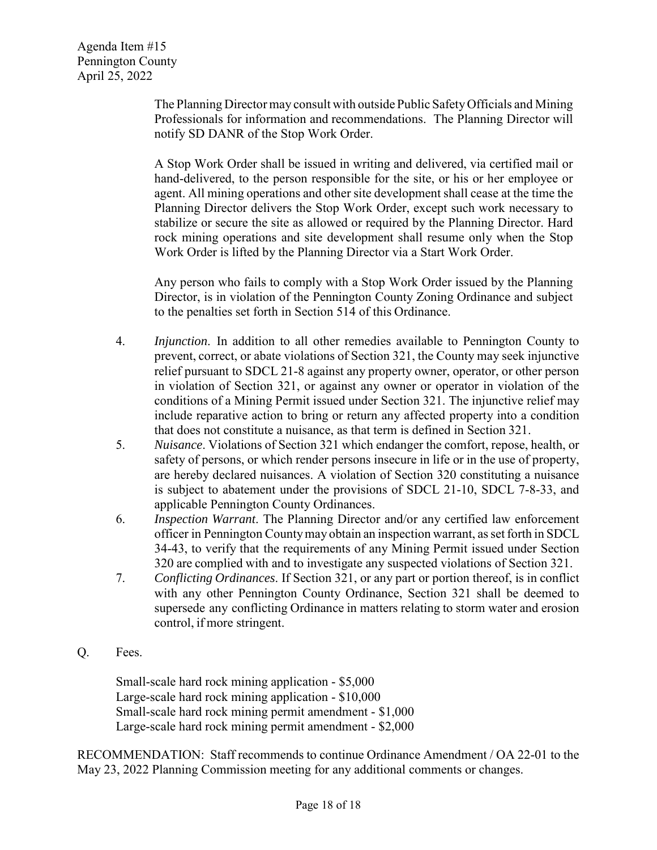The Planning Director may consult with outside Public SafetyOfficials and Mining Professionals for information and recommendations. The Planning Director will notify SD DANR of the Stop Work Order.

A Stop Work Order shall be issued in writing and delivered, via certified mail or hand-delivered, to the person responsible for the site, or his or her employee or agent. All mining operations and other site development shall cease at the time the Planning Director delivers the Stop Work Order, except such work necessary to stabilize or secure the site as allowed or required by the Planning Director. Hard rock mining operations and site development shall resume only when the Stop Work Order is lifted by the Planning Director via a Start Work Order.

Any person who fails to comply with a Stop Work Order issued by the Planning Director, is in violation of the Pennington County Zoning Ordinance and subject to the penalties set forth in Section 514 of this Ordinance.

- 4. *Injunction*. In addition to all other remedies available to Pennington County to prevent, correct, or abate violations of Section 321, the County may seek injunctive relief pursuant to SDCL 21-8 against any property owner, operator, or other person in violation of Section 321, or against any owner or operator in violation of the conditions of a Mining Permit issued under Section 321. The injunctive relief may include reparative action to bring or return any affected property into a condition that does not constitute a nuisance, as that term is defined in Section 321.
- 5. *Nuisance*. Violations of Section 321 which endanger the comfort, repose, health, or safety of persons, or which render persons insecure in life or in the use of property, are hereby declared nuisances. A violation of Section 320 constituting a nuisance is subject to abatement under the provisions of SDCL 21-10, SDCL 7-8-33, and applicable Pennington County Ordinances.
- 6. *Inspection Warrant*. The Planning Director and/or any certified law enforcement officer in Pennington Countymay obtain an inspection warrant, asset forth in SDCL 34-43, to verify that the requirements of any Mining Permit issued under Section 320 are complied with and to investigate any suspected violations of Section 321.
- 7. *Conflicting Ordinances*. If Section 321, or any part or portion thereof, is in conflict with any other Pennington County Ordinance, Section 321 shall be deemed to supersede any conflicting Ordinance in matters relating to storm water and erosion control, if more stringent.
- Q. Fees.

Small-scale hard rock mining application - \$5,000 Large-scale hard rock mining application - \$10,000 Small-scale hard rock mining permit amendment - \$1,000 Large-scale hard rock mining permit amendment - \$2,000

RECOMMENDATION: Staff recommends to continue Ordinance Amendment / OA 22-01 to the May 23, 2022 Planning Commission meeting for any additional comments or changes.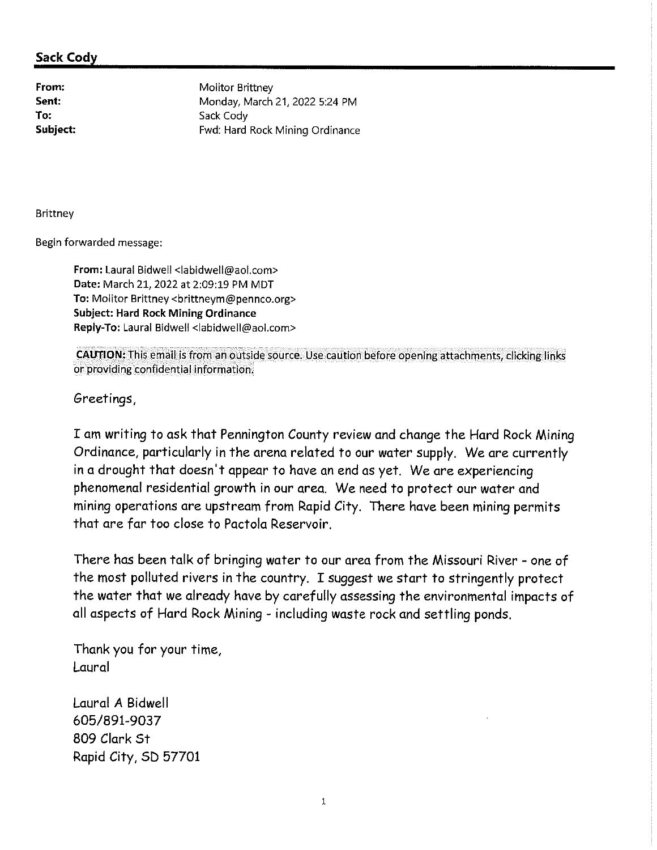From: Sent: To: Subject: **Molitor Brittney** Monday, March 21, 2022 5:24 PM Sack Cody Fwd: Hard Rock Mining Ordinance

**Brittney** 

Begin forwarded message:

From: Laural Bidwell <labidwell@aol.com> Date: March 21, 2022 at 2:09:19 PM MDT To: Molitor Brittney <brittneym@pennco.org> **Subject: Hard Rock Mining Ordinance** Reply-To: Laural Bidwell < abidwell@aol.com>

CAUTION: This email is from an outside source. Use caution before opening attachments, clicking links or providing confidential information.

Greetings,

I am writing to ask that Pennington County review and change the Hard Rock Mining Ordinance, particularly in the arena related to our water supply. We are currently in a drought that doesn't appear to have an end as yet. We are experiencing phenomenal residential growth in our area. We need to protect our water and mining operations are upstream from Rapid City. There have been mining permits that are far too close to Pactola Reservoir.

There has been talk of bringing water to our area from the Missouri River - one of the most polluted rivers in the country. I suggest we start to stringently protect the water that we already have by carefully assessing the environmental impacts of all aspects of Hard Rock Mining - including waste rock and settling ponds.

Thank you for your time, Laural

Laural A Bidwell 605/891-9037 809 Clark St Rapid City, SD 57701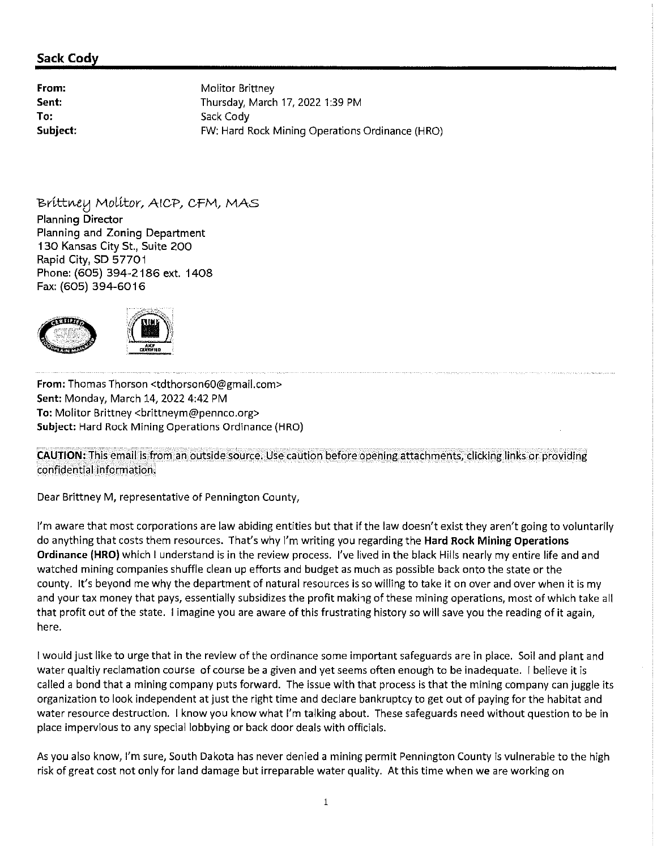From: Molitor Brittney Sent: Thursday, March 17, 2022 1:39 PM To: Sack Cody Subject: FW: Hard Rock Mining Operations Ordinance (HRO)

Brittney Molitor, AICP, CFM, MAS **Planning Director** Planning and Zoning Department 130 Kansas City St., Suite 200 Rapid City, SD 57701 Phone: (605) 394-2186 ext. 1408 Fax: (605) 394-6016



From: Thomas Thorson <tdthorson60@gmail.com> Sent: Monday, March 14, 2022 4:42 PM To: Molitor Brittney <brittneym@pennco.org> Subject: Hard Rock Mining Operations Ordinance (HRO)

**CAUTION:** This email is from an outside source. Use caution before opening attachments, clicking links or providing confidential information.

Dear Brittney M, representative of Pennington County,

I'm aware that most corporations are law abiding entities but that if the law doesn't exist they aren't going to voluntarily do anything that costs them resources. That's why I'm writing you regarding the Hard Rock Mining Operations Ordinance (HRO) which I understand is in the review process. I've lived in the black Hills nearly my entire life and and watched mining companies shuffle clean up efforts and budget as much as possible back onto the state or the county. It's beyond me why the department of natural resources is so willing to take it on over and over when it is my and your tax money that pays, essentially subsidizes the profit making of these mining operations, most of which take all that profit out of the state. I imagine you are aware of this frustrating history so will save you the reading of it again, here.

I would just like to urge that in the review of the ordinance some important safeguards are in place. Soil and plant and water qualtiy reclamation course of course be a given and yet seems often enough to be inadequate. I believe it is called a bond that a mining company puts forward. The issue with that process is that the mining company can juggle its organization to look independent at just the right time and declare bankruptcy to get out of paying for the habitat and water resource destruction. I know you know what I'm talking about. These safeguards need without question to be in place impervious to any special lobbying or back door deals with officials.

As you also know, I'm sure, South Dakota has never denied a mining permit Pennington County is vulnerable to the high risk of great cost not only for land damage but irreparable water quality. At this time when we are working on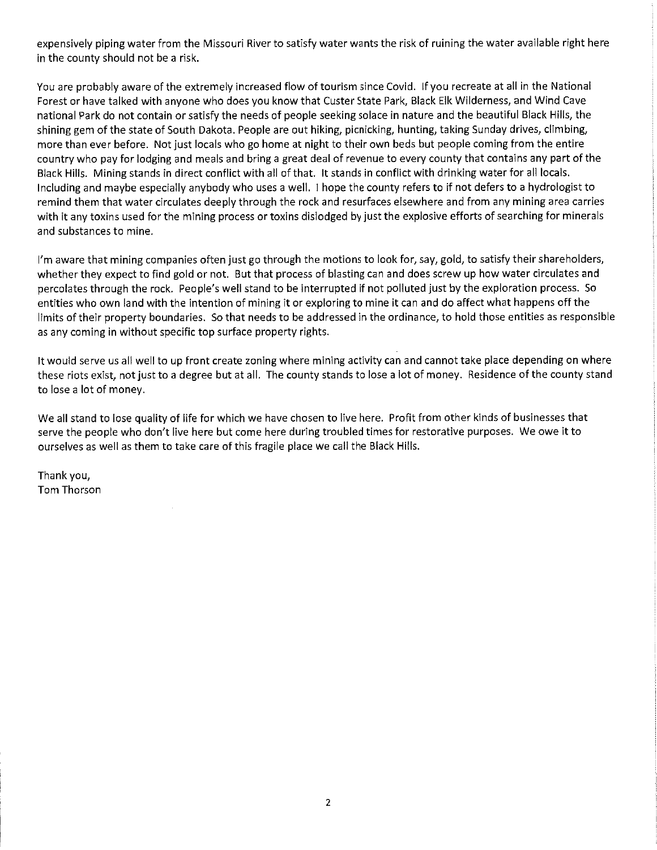expensively piping water from the Missouri River to satisfy water wants the risk of ruining the water available right here in the county should not be a risk.

You are probably aware of the extremely increased flow of tourism since Covid. If you recreate at all in the National Forest or have talked with anyone who does you know that Custer State Park, Black Elk Wilderness, and Wind Cave national Park do not contain or satisfy the needs of people seeking solace in nature and the beautiful Black Hills, the shining gem of the state of South Dakota. People are out hiking, picnicking, hunting, taking Sunday drives, climbing, more than ever before. Not just locals who go home at night to their own beds but people coming from the entire country who pay for lodging and meals and bring a great deal of revenue to every county that contains any part of the Black Hills. Mining stands in direct conflict with all of that. It stands in conflict with drinking water for all locals. Including and maybe especially anybody who uses a well. I hope the county refers to if not defers to a hydrologist to remind them that water circulates deeply through the rock and resurfaces elsewhere and from any mining area carries with it any toxins used for the mining process or toxins dislodged by just the explosive efforts of searching for minerals and substances to mine.

I'm aware that mining companies often just go through the motions to look for, say, gold, to satisfy their shareholders, whether they expect to find gold or not. But that process of blasting can and does screw up how water circulates and percolates through the rock. People's well stand to be interrupted if not polluted just by the exploration process. So entities who own land with the intention of mining it or exploring to mine it can and do affect what happens off the limits of their property boundaries. So that needs to be addressed in the ordinance, to hold those entities as responsible as any coming in without specific top surface property rights.

It would serve us all well to up front create zoning where mining activity can and cannot take place depending on where these riots exist, not just to a degree but at all. The county stands to lose a lot of money. Residence of the county stand to lose a lot of money.

We all stand to lose quality of life for which we have chosen to live here. Profit from other kinds of businesses that serve the people who don't live here but come here during troubled times for restorative purposes. We owe it to ourselves as well as them to take care of this fragile place we call the Black Hills.

Thank you, Tom Thorson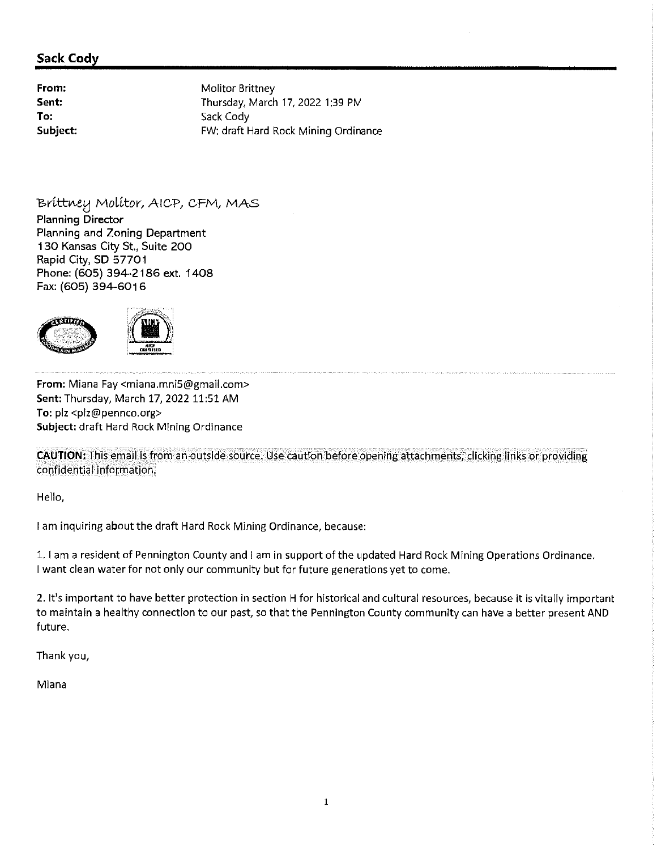From: Sent: To: Subject: **Molitor Brittney** Thursday, March 17, 2022 1:39 PM Sack Cody FW: draft Hard Rock Mining Ordinance

Brittney Molitor, AICP, CFM, MAS

**Planning Director** Planning and Zoning Department 130 Kansas City St., Suite 200 Rapid City, SD 57701 Phone: (605) 394-2186 ext. 1408 Fax: (605) 394-6016



From: Miana Fay <miana.mni5@gmail.com> Sent: Thursday, March 17, 2022 11:51 AM To: plz <plz@pennco.org> Subject: draft Hard Rock Mining Ordinance

CAUTION: This email is from an outside source. Use caution before opening attachments, clicking links or providing confidential information.

Hello,

I am inquiring about the draft Hard Rock Mining Ordinance, because:

1. I am a resident of Pennington County and I am in support of the updated Hard Rock Mining Operations Ordinance. I want clean water for not only our community but for future generations yet to come.

2. It's important to have better protection in section H for historical and cultural resources, because it is vitally important to maintain a healthy connection to our past, so that the Pennington County community can have a better present AND future.

Thank you,

Miana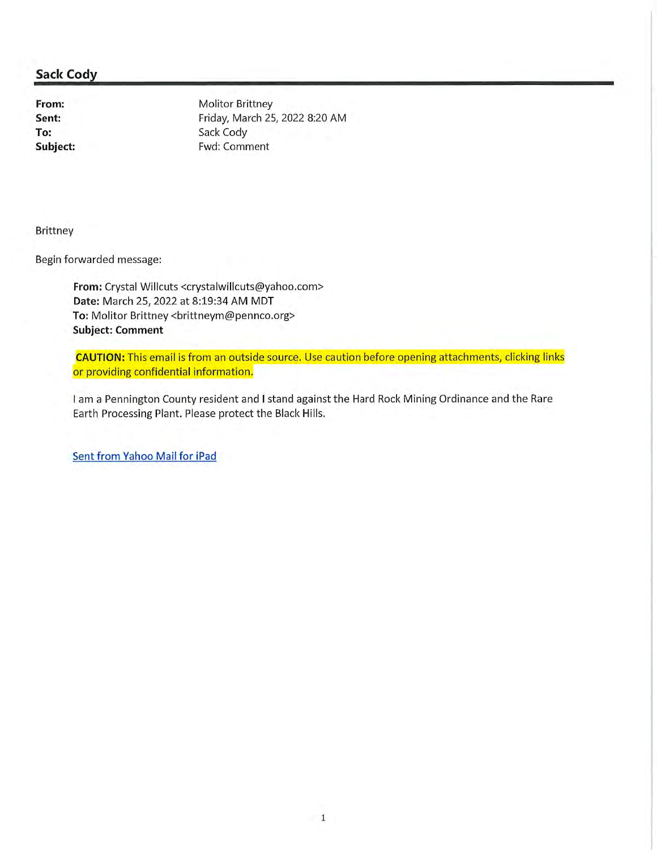From: Sent: To: Subject: **Molitor Brittney** Friday, March 25, 2022 8:20 AM Sack Cody Fwd: Comment

**Brittney** 

Begin forwarded message:

From: Crystal Willcuts <crystalwillcuts@yahoo.com> Date: March 25, 2022 at 8:19:34 AM MDT To: Molitor Brittney <brittneym@pennco.org> **Subject: Comment** 

**CAUTION:** This email is from an outside source. Use caution before opening attachments, clicking links or providing confidential information.

I am a Pennington County resident and I stand against the Hard Rock Mining Ordinance and the Rare Earth Processing Plant. Please protect the Black Hills.

Sent from Yahoo Mail for iPad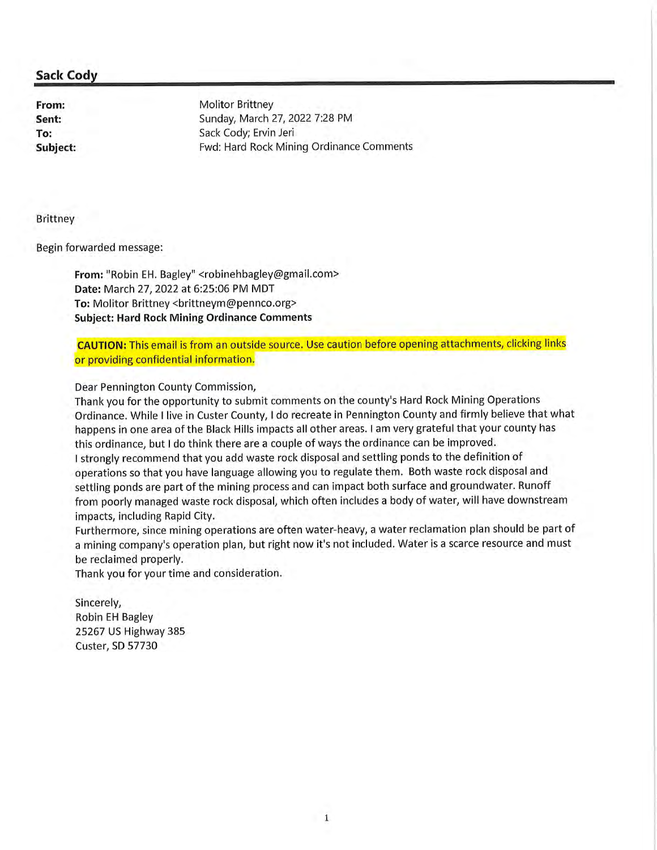From: Sent: To: Subject: **Molitor Brittney** Sunday, March 27, 2022 7:28 PM Sack Cody; Ervin Jeri Fwd: Hard Rock Mining Ordinance Comments

**Brittney** 

Begin forwarded message:

From: "Robin EH. Bagley" <robinehbagley@gmail.com> Date: March 27, 2022 at 6:25:06 PM MDT To: Molitor Brittney <brittneym@pennco.org> **Subject: Hard Rock Mining Ordinance Comments** 

**CAUTION:** This email is from an outside source. Use caution before opening attachments, clicking links or providing confidential information.

Dear Pennington County Commission,

Thank you for the opportunity to submit comments on the county's Hard Rock Mining Operations Ordinance. While I live in Custer County, I do recreate in Pennington County and firmly believe that what happens in one area of the Black Hills impacts all other areas. I am very grateful that your county has this ordinance, but I do think there are a couple of ways the ordinance can be improved. I strongly recommend that you add waste rock disposal and settling ponds to the definition of operations so that you have language allowing you to regulate them. Both waste rock disposal and settling ponds are part of the mining process and can impact both surface and groundwater. Runoff from poorly managed waste rock disposal, which often includes a body of water, will have downstream impacts, including Rapid City.

Furthermore, since mining operations are often water-heavy, a water reclamation plan should be part of a mining company's operation plan, but right now it's not included. Water is a scarce resource and must be reclaimed properly.

Thank you for your time and consideration.

Sincerely, **Robin EH Bagley** 25267 US Highway 385 Custer, SD 57730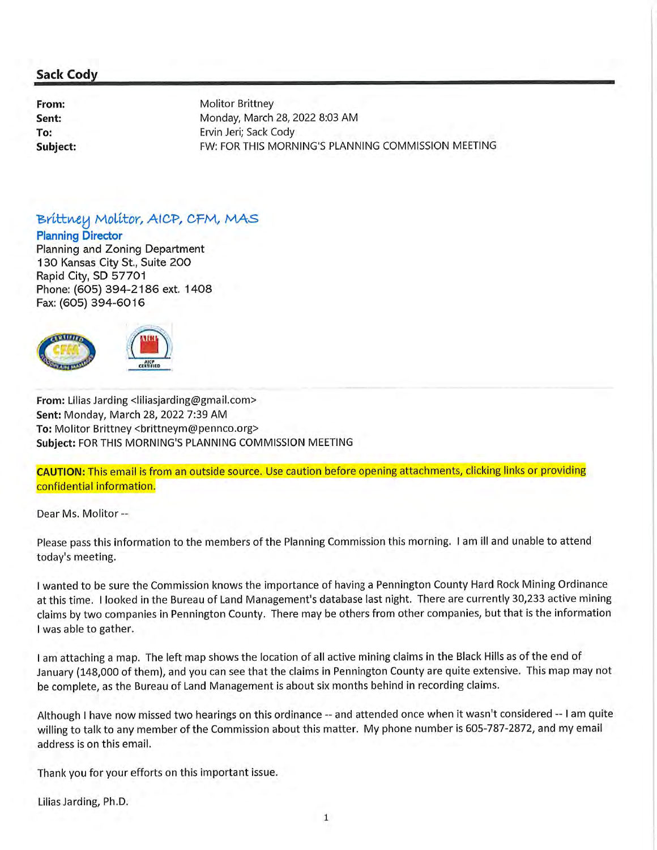From: Sent: To: Subject: **Molitor Brittney** Monday, March 28, 2022 8:03 AM Ervin Jeri; Sack Cody FW: FOR THIS MORNING'S PLANNING COMMISSION MEETING

# Brittney Molitor, AICP, CFM, MAS

**Planning Director** 

Planning and Zoning Department 130 Kansas City St., Suite 200 Rapid City, SD 57701 Phone: (605) 394-2186 ext. 1408 Fax: (605) 394-6016



From: Lilias Jarding <liliasjarding@gmail.com> Sent: Monday, March 28, 2022 7:39 AM To: Molitor Brittney <brittneym@pennco.org> Subject: FOR THIS MORNING'S PLANNING COMMISSION MEETING

**CAUTION:** This email is from an outside source. Use caution before opening attachments, clicking links or providing confidential information.

Dear Ms. Molitor --

Please pass this information to the members of the Planning Commission this morning. I am ill and unable to attend today's meeting.

I wanted to be sure the Commission knows the importance of having a Pennington County Hard Rock Mining Ordinance at this time. I looked in the Bureau of Land Management's database last night. There are currently 30,233 active mining claims by two companies in Pennington County. There may be others from other companies, but that is the information I was able to gather.

I am attaching a map. The left map shows the location of all active mining claims in the Black Hills as of the end of January (148,000 of them), and you can see that the claims in Pennington County are quite extensive. This map may not be complete, as the Bureau of Land Management is about six months behind in recording claims.

Although I have now missed two hearings on this ordinance -- and attended once when it wasn't considered -- I am quite willing to talk to any member of the Commission about this matter. My phone number is 605-787-2872, and my email address is on this email.

Thank you for your efforts on this important issue.

Lilias Jarding, Ph.D.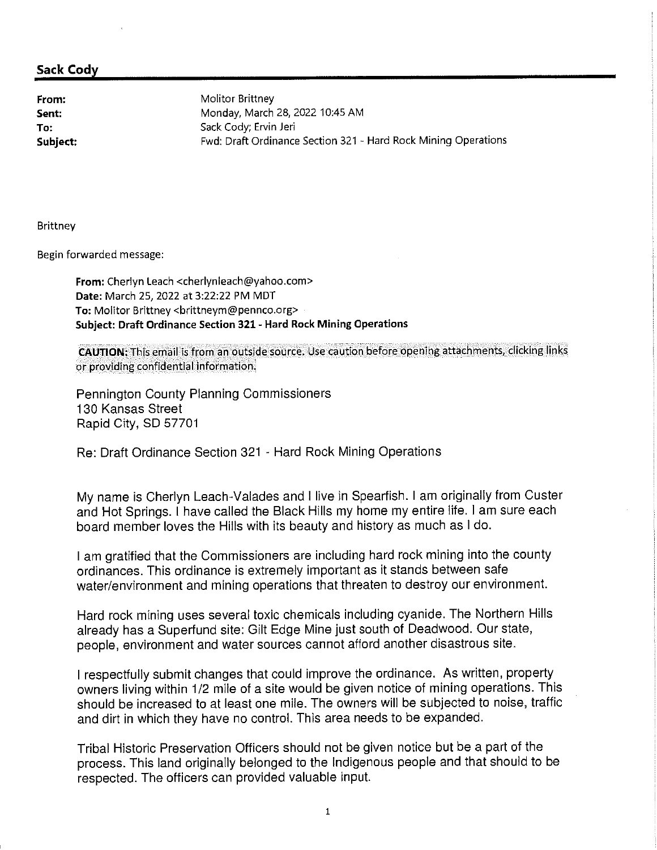From: Sent: To: Subject: Molitor Brittney Monday, March 28, 2022 10:45 AM Sack Cody; Ervin Jeri Fwd: Draft Ordinance Section 321 - Hard Rock Mining Operations

Brittney

Begin forwarded message:

From: Cherlyn Leach <cherlynleach@yahoo.com> Date: March 25, 2022 at 3:22:22 PM MDT To: Molitor Brittney <brittneym@pennco.org> Subject: Draft Ordinance Section 321 - Hard Rock Mining Operations

CAUTION: This email is from an outside source. Use caution before opening attachments, clicking links or providing confidential information.

Pennington County Planning Commissioners 130 Kansas Street Rapid City, SD 57701

Re: Draft Ordinance Section 321 - Hard Rock Mining Operations

My name is Cherlyn Leach-Valades and I live in Spearfish. I am originally from Custer and Hot Springs. I have called the Black Hills my home my entire life. I am sure each board member loves the Hills with its beauty and history as much as I do.

I am gratified that the Commissioners are including hard rock mining into the county ordinances. This ordinance is extremely important as it stands between safe water/environment and mining operations that threaten to destroy our environment.

Hard rock mining uses several toxic chemicals including cyanide. The Northern Hills already has a Superfund site: Gilt Edge Mine just south of Deadwood. Our state, people, environment and water sources cannot afford another disastrous site.

I respectfully submit changes that could improve the ordinance. As written, property owners living within 1/2 mile of a site would be given notice of mining operations. This should be increased to at least one mile. The owners will be subjected to noise, traffic and dirt in which they have no control. This area needs to be expanded.

Tribal Historic Preservation Officers should not be given notice but be a part of the process. This land originally belonged to the Indigenous people and that should to be respected. The officers can provided valuable input.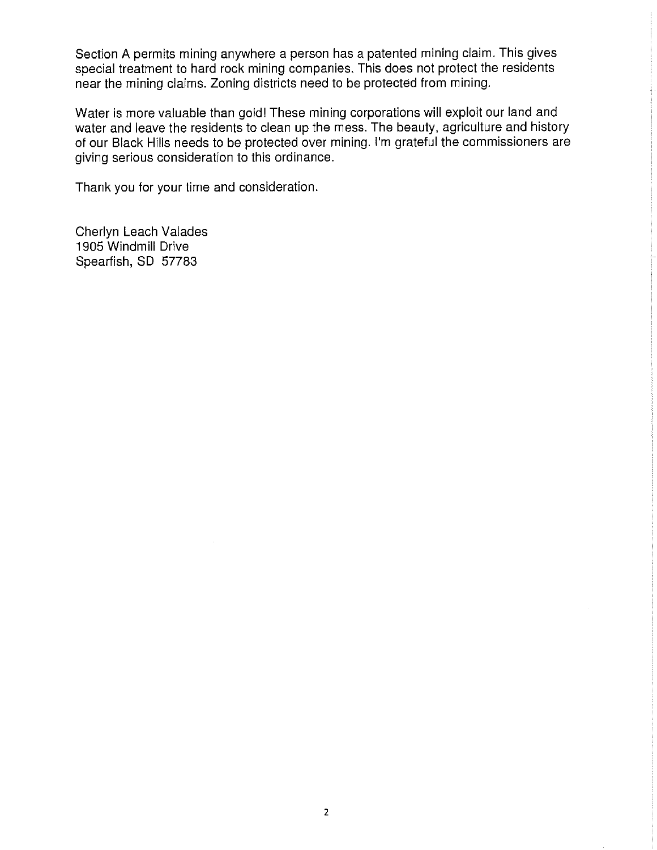Section A permits mining anywhere a person has a patented mining claim. This gives special treatment to hard rock mining companies. This does not protect the residents near the mining claims. Zoning districts need to be protected from mining.

Water is more valuable than gold! These mining corporations will exploit our land and water and leave the residents to clean up the mess. The beauty, agriculture and history of our Black Hills needs to be protected over mining. I'm grateful the commissioners are giving serious consideration to this ordinance.

Thank you for your time and consideration.

Cherlyn Leach Valades 1905 Windmill Drive Spearfish, SD 57783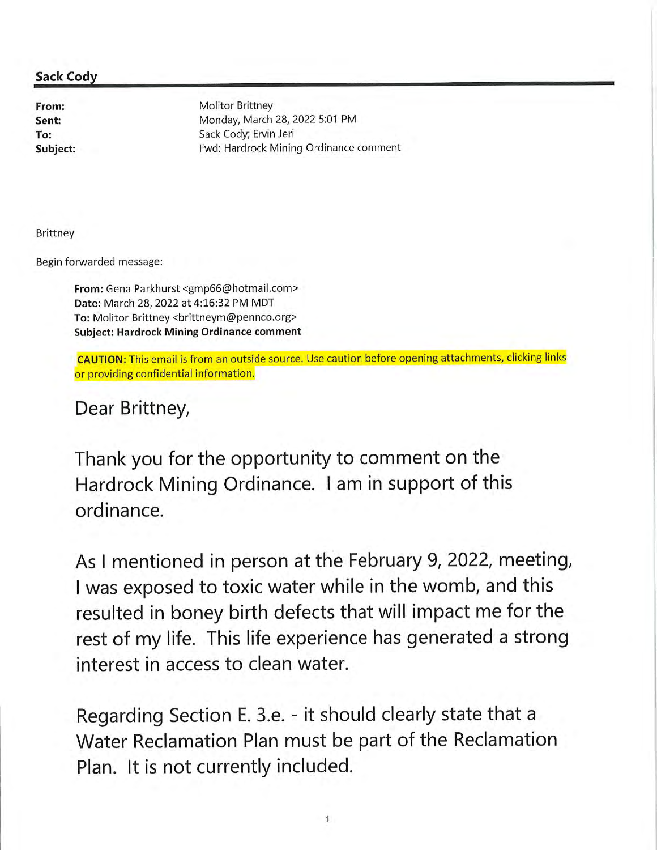From: Sent: To: Subject: **Molitor Brittney** Monday, March 28, 2022 5:01 PM Sack Cody; Ervin Jeri Fwd: Hardrock Mining Ordinance comment

Brittney

Begin forwarded message:

From: Gena Parkhurst <gmp66@hotmail.com> Date: March 28, 2022 at 4:16:32 PM MDT To: Molitor Brittney <brittneym@pennco.org> **Subject: Hardrock Mining Ordinance comment** 

CAUTION: This email is from an outside source. Use caution before opening attachments, clicking links or providing confidential information.

Dear Brittney,

Thank you for the opportunity to comment on the Hardrock Mining Ordinance. I am in support of this ordinance.

As I mentioned in person at the February 9, 2022, meeting, I was exposed to toxic water while in the womb, and this resulted in boney birth defects that will impact me for the rest of my life. This life experience has generated a strong interest in access to clean water.

Regarding Section E. 3.e. - it should clearly state that a Water Reclamation Plan must be part of the Reclamation Plan. It is not currently included.

 $\mathbf{1}$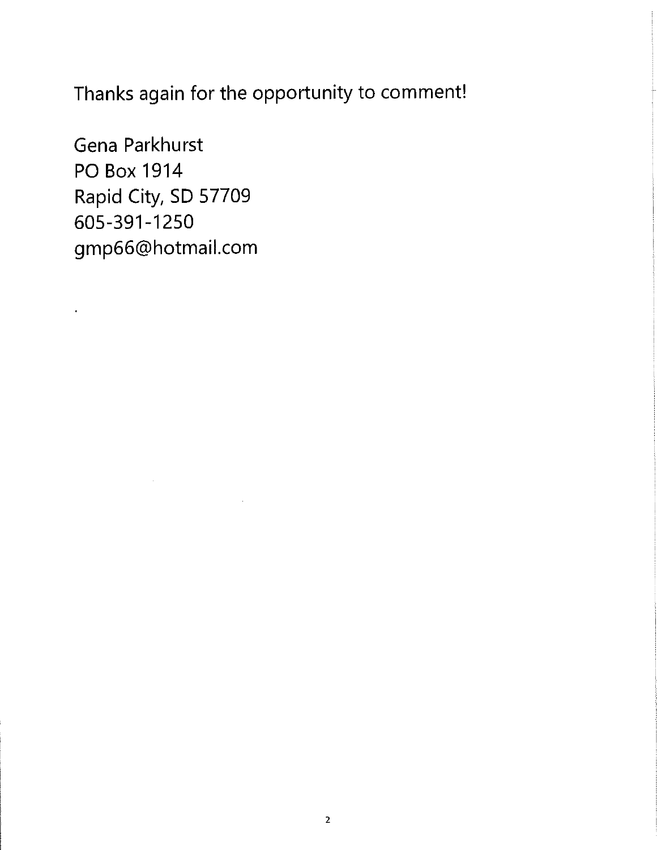Thanks again for the opportunity to comment!

Gena Parkhurst **PO Box 1914** Rapid City, SD 57709 605-391-1250 gmp66@hotmail.com

 $\hat{\mathbf{r}}$